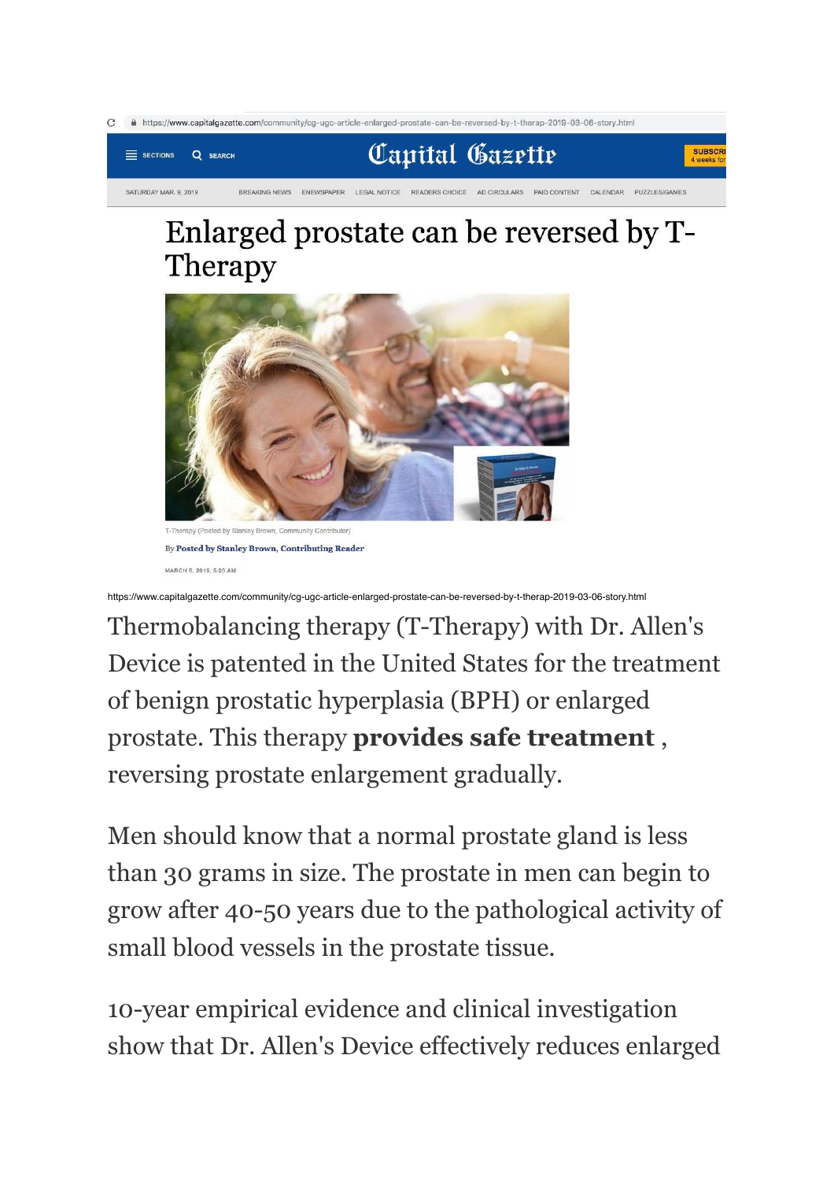

## Enlarged prostate can be reversed by T-Therapy



nley Brown, Community Contributor By Posted by Stanley Brown, Contributing Reader MARCH 6, 2019, 5:20 AM

https://www.capitalgazette.com/community/cg-ugc-article-enlarged-prostate-can-be-reversed-by-t-therap-2019-03-06-story.html

Thermobalancing therapy (T-Therapy) with Dr. Allen's Device is patented in the United States for the treatment of benign prostatic hyperplasia (BPH) or enlarged prostate. This therapy **provides safe treatment** , reversing prostate enlargement gradually.

Men should know that a normal prostate gland is less than 30 grams in size. The prostate in men can begin to grow after 40-50 years due to the pathological activity of small blood vessels in the prostate tissue.

10-year empirical evidence and clinical investigation show that Dr. Allen's Device effectively reduces enlarged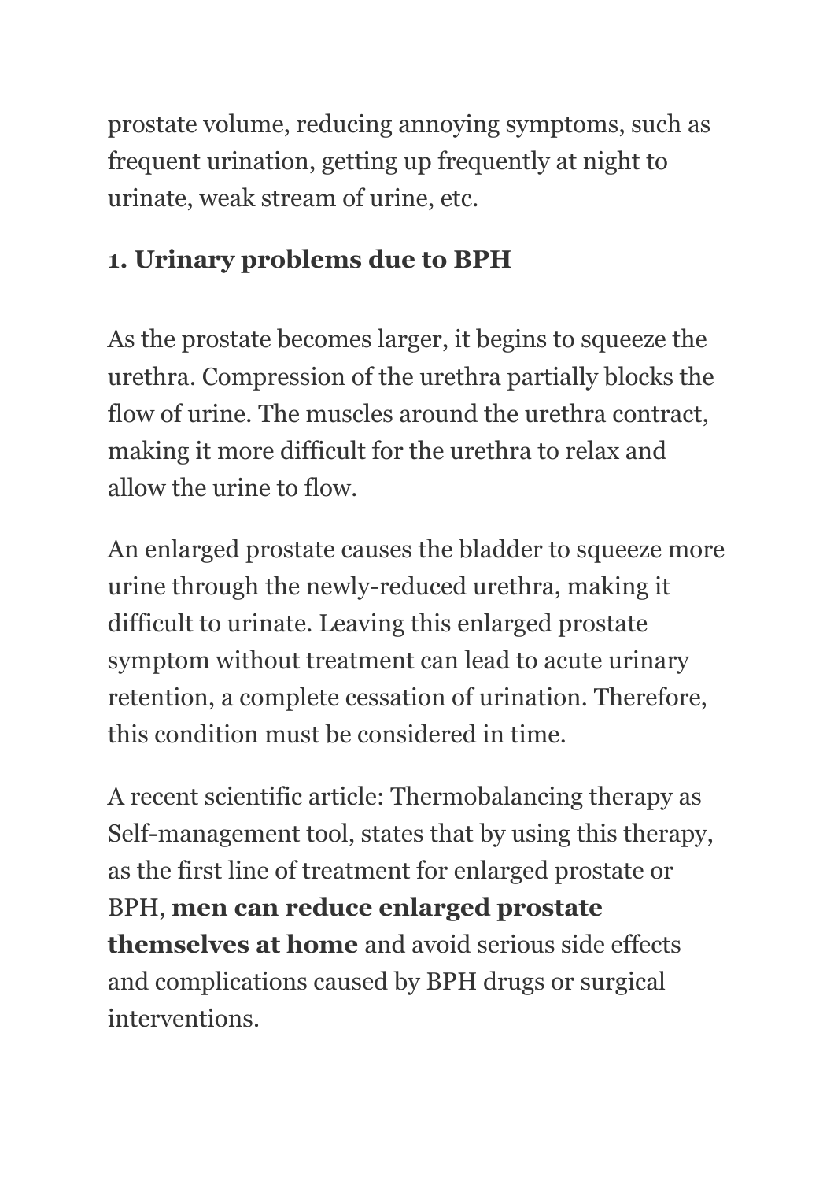prostate volume, reducing annoying symptoms, such as frequent urination, getting up frequently at night to urinate, weak stream of urine, etc.

### **1. Urinary problems due to BPH**

As the prostate becomes larger, it begins to squeeze the urethra. Compression of the urethra partially blocks the flow of urine. The muscles around the urethra contract, making it more difficult for the urethra to relax and allow the urine to flow.

An enlarged prostate causes the bladder to squeeze more urine through the newly-reduced urethra, making it difficult to urinate. Leaving this enlarged prostate symptom without treatment can lead to acute urinary retention, a complete cessation of urination. Therefore, this condition must be considered in time.

A recent scientific article: Thermobalancing therapy as Self-management tool, states that by using this therapy, as the first line of treatment for enlarged prostate or BPH, **men can reduce enlarged prostate themselves at home** and avoid serious side effects and complications caused by BPH drugs or surgical interventions.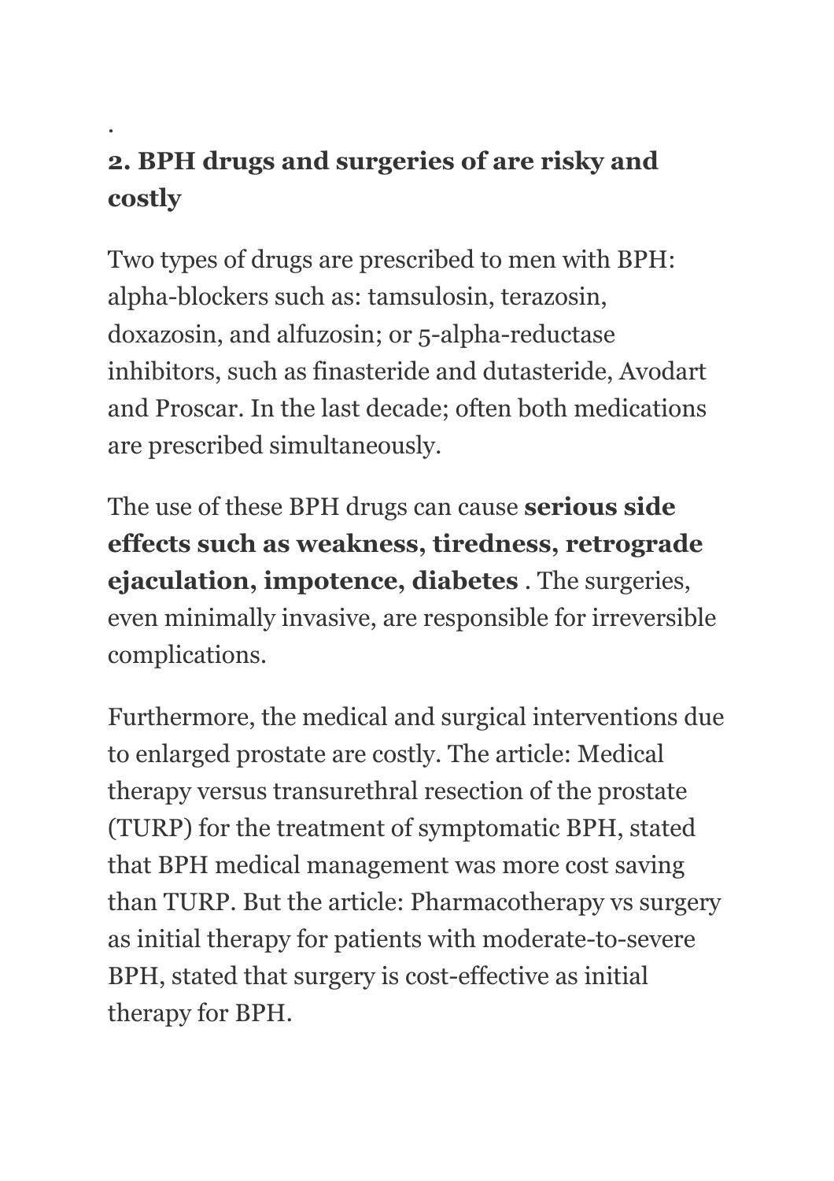## **2. BPH drugs and surgeries of are risky and costly**

.

Two types of drugs are prescribed to men with BPH: alpha-blockers such as: tamsulosin, terazosin, doxazosin, and alfuzosin; or 5-alpha-reductase inhibitors, such as finasteride and dutasteride, Avodart and Proscar. In the last decade; often both medications are prescribed simultaneously.

The use of these BPH drugs can cause **serious side effects such as weakness, tiredness, retrograde ejaculation, impotence, diabetes** . The surgeries, even minimally invasive, are responsible for irreversible complications.

Furthermore, the medical and surgical interventions due to enlarged prostate are costly. The article: Medical therapy versus transurethral resection of the prostate (TURP) for the treatment of symptomatic BPH, stated that BPH medical management was more cost saving than TURP. But the article: Pharmacotherapy vs surgery as initial therapy for patients with moderate-to-severe BPH, stated that surgery is cost-effective as initial therapy for BPH.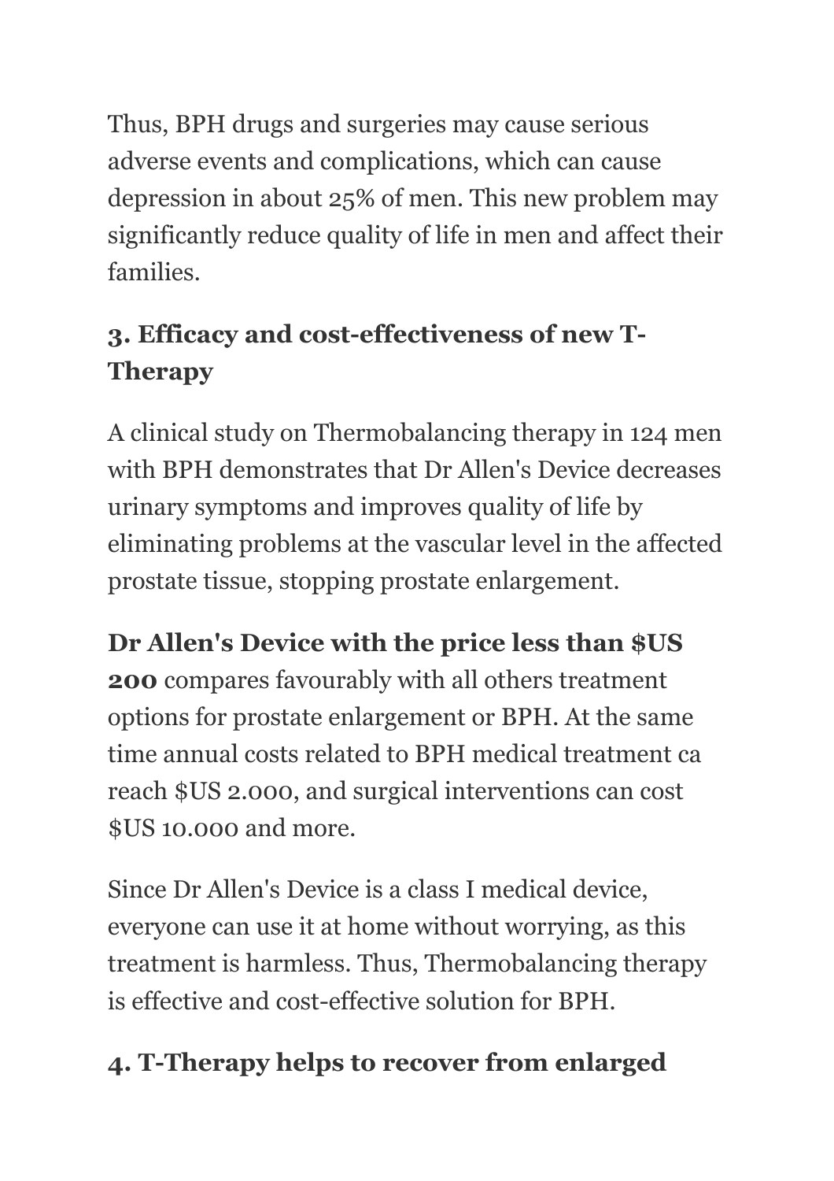Thus, BPH drugs and surgeries may cause serious adverse events and complications, which can cause depression in about 25% of men. This new problem may significantly reduce quality of life in men and affect their families.

# **3. Efficacy and cost-effectiveness of new T-Therapy**

A clinical study on Thermobalancing therapy in 124 men with BPH demonstrates that Dr Allen's Device decreases urinary symptoms and improves quality of life by eliminating problems at the vascular level in the affected prostate tissue, stopping prostate enlargement.

**Dr Allen's Device with the price less than \$US 200** compares favourably with all others treatment options for prostate enlargement or BPH. At the same time annual costs related to BPH medical treatment ca reach \$US 2.000, and surgical interventions can cost \$US 10.000 and more.

Since Dr Allen's Device is a class I medical device, everyone can use it at home without worrying, as this treatment is harmless. Thus, Thermobalancing therapy is effective and cost-effective solution for BPH.

## **4. T-Therapy helps to recover from enlarged**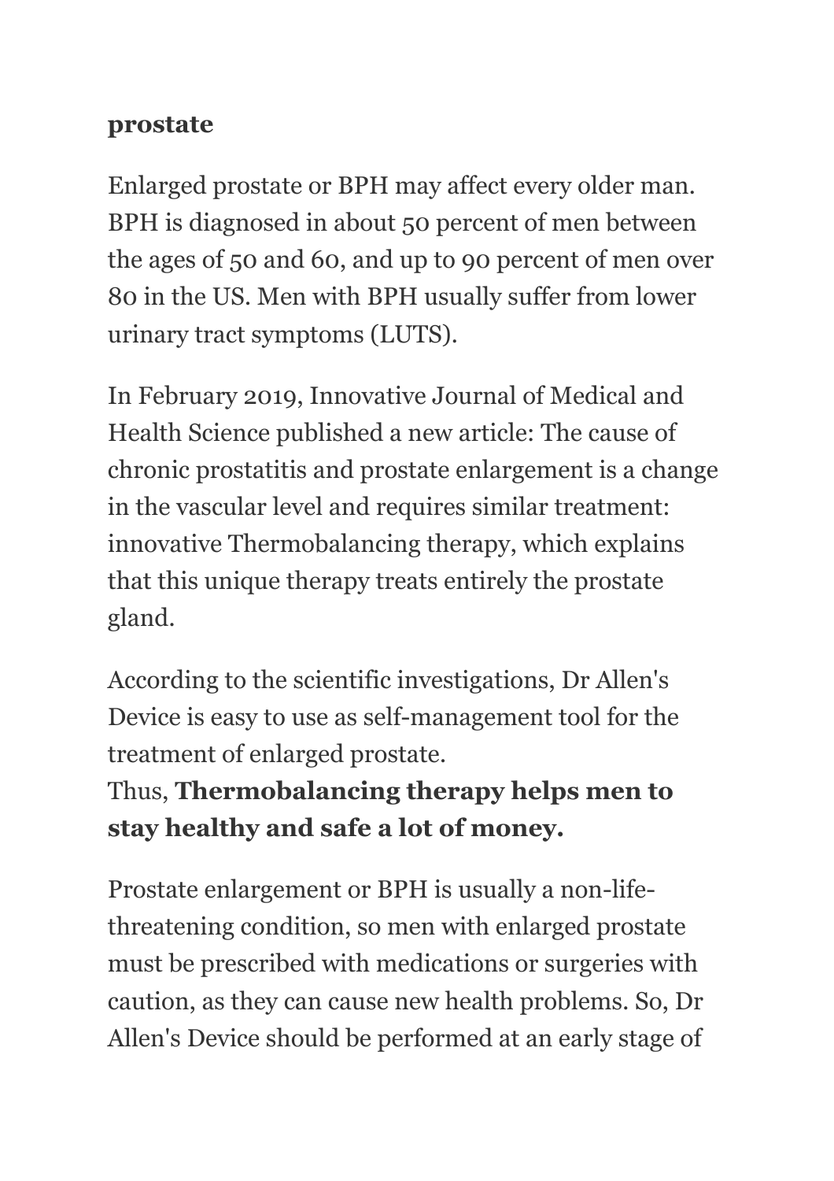#### **prostate**

Enlarged prostate or BPH may affect every older man. BPH is diagnosed in about 50 percent of men between the ages of 50 and 60, and up to 90 percent of men over 80 in the US. Men with BPH usually suffer from lower urinary tract symptoms (LUTS).

In February 2019, Innovative Journal of Medical and Health Science published a new article: The cause of chronic prostatitis and prostate enlargement is a change in the vascular level and requires similar treatment: innovative Thermobalancing therapy, which explains that this unique therapy treats entirely the prostate gland.

According to the scientific investigations, Dr Allen's Device is easy to use as self-management tool for the treatment of enlarged prostate.

## Thus, **Thermobalancing therapy helps men to stay healthy and safe a lot of money.**

Prostate enlargement or BPH is usually a non-lifethreatening condition, so men with enlarged prostate must be prescribed with medications or surgeries with caution, as they can cause new health problems. So, Dr Allen's Device should be performed at an early stage of